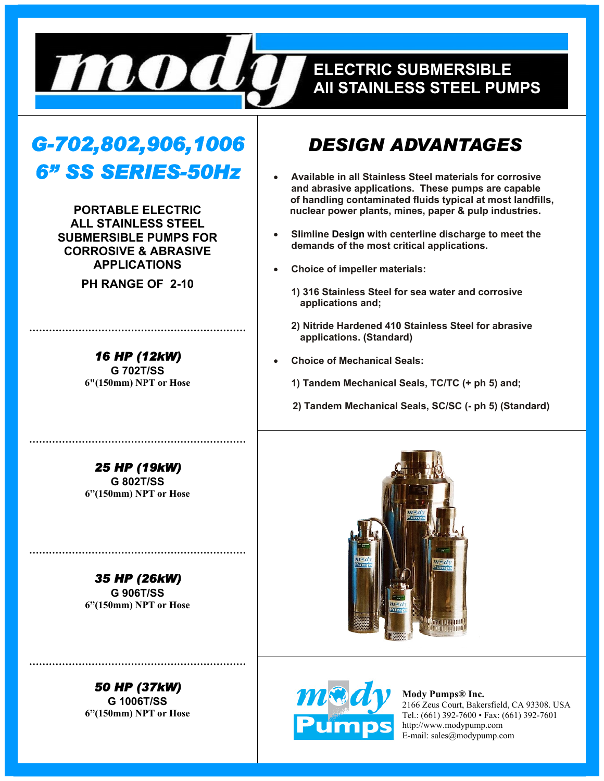

## **EELECTRIC SUBMERSIBLE ELECTRIC SUBMERSIBLE ALL STAINLESS STEEL PUMPS All STAINLESS STEEL PUMPS**

# *G-702,802,906,1006 6" SS SERIES-50Hz*

**PORTABLE ELECTRIC ALL STAINLESS STEEL SUBMERSIBLE PUMPS FOR CORROSIVE & ABRASIVE APPLICATIONS** 

**PH RANGE OF 2-10** 

*16 HP (12kW)*  **G 702T/SS 6"(150mm) NPT or Hose** 

**…………………………………………………………** 

*25 HP (19kW)*  **G 802T/SS 6"(150mm) NPT or Hose** 

**…………………………………………………………** 

*35 HP (26kW)*  **G 906T/SS 6"(150mm) NPT or Hose** 

**…………………………………………………………** 



## *DESIGN ADVANTAGES*

- **Available in all Stainless Steel materials for corrosive and abrasive applications. These pumps are capable of handling contaminated fluids typical at most landfills, nuclear power plants, mines, paper & pulp industries.**
- **Slimline Design with centerline discharge to meet the demands of the most critical applications.**
- **Choice of impeller materials:**
	- **1) 316 Stainless Steel for sea water and corrosive applications and;**
	- **2) Nitride Hardened 410 Stainless Steel for abrasive applications. (Standard)**
- **Choice of Mechanical Seals:**
	- **1) Tandem Mechanical Seals, TC/TC (+ ph 5) and;**
	- **2) Tandem Mechanical Seals, SC/SC (- ph 5) (Standard)**





**Mody Pumps® Inc.**  2166 Zeus Court, Bakersfield, CA 93308. USA Tel.: (661) 392-7600 • Fax: (661) 392-7601 http://www.modypump.com E-mail: sales@modypump.com